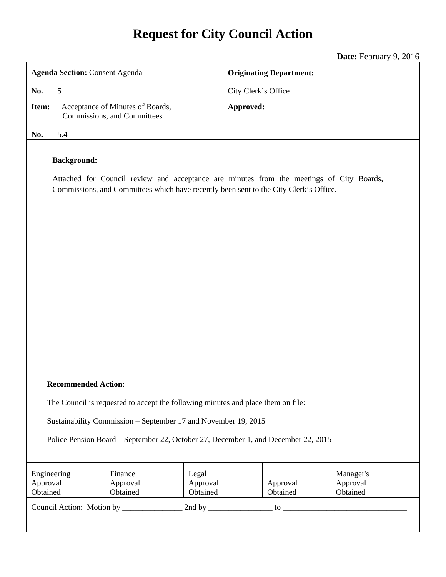# **Request for City Council Action**

**Date:** February 9, 2016

|                                                                                                                                                                                                         | <b>Date:</b> For any 7, 2010   |
|---------------------------------------------------------------------------------------------------------------------------------------------------------------------------------------------------------|--------------------------------|
| <b>Agenda Section: Consent Agenda</b>                                                                                                                                                                   | <b>Originating Department:</b> |
| 5<br>No.                                                                                                                                                                                                | City Clerk's Office            |
| Acceptance of Minutes of Boards,<br>Item:<br>Commissions, and Committees                                                                                                                                | Approved:                      |
| 5.4<br>No.                                                                                                                                                                                              |                                |
| <b>Background:</b><br>Attached for Council review and acceptance are minutes from the meetings of City Boards,<br>Commissions, and Committees which have recently been sent to the City Clerk's Office. |                                |

## **Recommended Action**:

The Council is requested to accept the following minutes and place them on file:

Sustainability Commission – September 17 and November 19, 2015

Police Pension Board – September 22, October 27, December 1, and December 22, 2015

| Engineering<br>Approval<br>Obtained | Finance<br>Approval<br>Obtained | Legal<br>Approval<br>Obtained | Approval<br>Obtained | Manager's<br>Approval<br>Obtained |
|-------------------------------------|---------------------------------|-------------------------------|----------------------|-----------------------------------|
| Council Action: Motion by           |                                 | 2nd by                        | tο                   |                                   |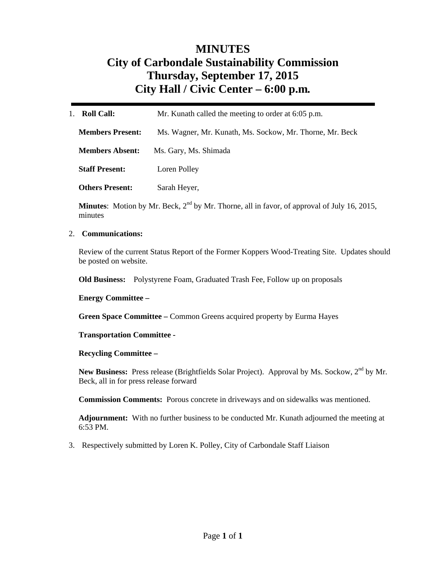## **MINUTES City of Carbondale Sustainability Commission Thursday, September 17, 2015 City Hall / Civic Center – 6:00 p.m***.*

| <b>Roll Call:</b><br>$1_{-}$ | Mr. Kunath called the meeting to order at 6:05 p.m.      |
|------------------------------|----------------------------------------------------------|
| <b>Members Present:</b>      | Ms. Wagner, Mr. Kunath, Ms. Sockow, Mr. Thorne, Mr. Beck |
| <b>Members Absent:</b>       | Ms. Gary, Ms. Shimada                                    |
| <b>Staff Present:</b>        | Loren Polley                                             |
| <b>Others Present:</b>       | Sarah Heyer,                                             |

Minutes: Motion by Mr. Beck, 2<sup>nd</sup> by Mr. Thorne, all in favor, of approval of July 16, 2015, minutes

## 2. **Communications:**

Review of the current Status Report of the Former Koppers Wood-Treating Site. Updates should be posted on website.

**Old Business:** Polystyrene Foam, Graduated Trash Fee, Follow up on proposals

#### **Energy Committee –**

**Green Space Committee –** Common Greens acquired property by Eurma Hayes

#### **Transportation Committee -**

## **Recycling Committee –**

New Business: Press release (Brightfields Solar Project). Approval by Ms. Sockow, 2<sup>nd</sup> by Mr. Beck, all in for press release forward

**Commission Comments:** Porous concrete in driveways and on sidewalks was mentioned.

**Adjournment:** With no further business to be conducted Mr. Kunath adjourned the meeting at 6:53 PM.

3. Respectively submitted by Loren K. Polley, City of Carbondale Staff Liaison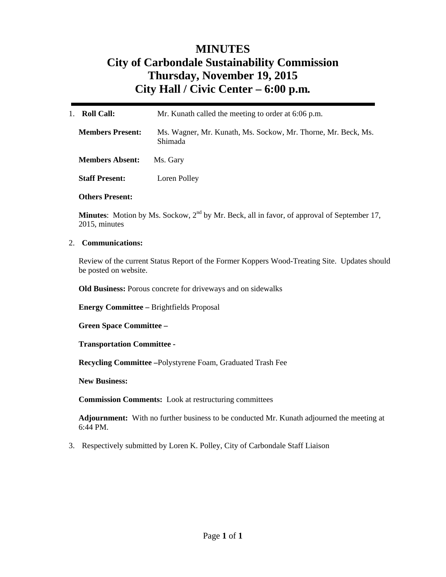## **MINUTES City of Carbondale Sustainability Commission Thursday, November 19, 2015 City Hall / Civic Center – 6:00 p.m***.*

| 1.<br><b>Roll Call:</b> | Mr. Kunath called the meeting to order at 6:06 p.m.                      |
|-------------------------|--------------------------------------------------------------------------|
| <b>Members Present:</b> | Ms. Wagner, Mr. Kunath, Ms. Sockow, Mr. Thorne, Mr. Beck, Ms.<br>Shimada |
| <b>Members Absent:</b>  | Ms. Gary                                                                 |
| <b>Staff Present:</b>   | Loren Polley                                                             |
| <b>Others Present:</b>  |                                                                          |

**Minutes**: Motion by Ms. Sockow, 2<sup>nd</sup> by Mr. Beck, all in favor, of approval of September 17, 2015, minutes

2. **Communications:** 

Review of the current Status Report of the Former Koppers Wood-Treating Site. Updates should be posted on website.

**Old Business:** Porous concrete for driveways and on sidewalks

**Energy Committee –** Brightfields Proposal

**Green Space Committee –** 

**Transportation Committee -** 

**Recycling Committee –**Polystyrene Foam, Graduated Trash Fee

**New Business:** 

**Commission Comments:** Look at restructuring committees

**Adjournment:** With no further business to be conducted Mr. Kunath adjourned the meeting at 6:44 PM.

3. Respectively submitted by Loren K. Polley, City of Carbondale Staff Liaison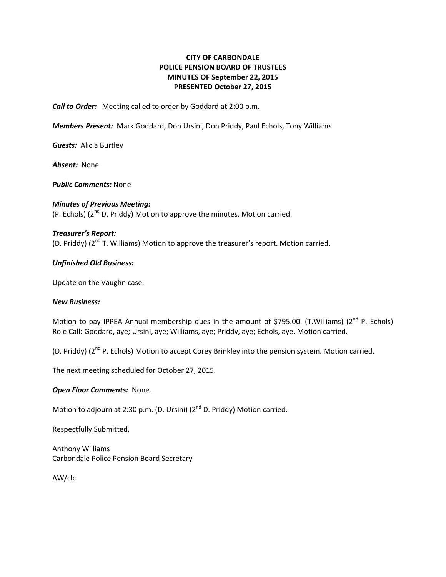## **CITY OF CARBONDALE POLICE PENSION BOARD OF TRUSTEES MINUTES OF September 22, 2015 PRESENTED October 27, 2015**

*Call to Order:* Meeting called to order by Goddard at 2:00 p.m.

*Members Present:* Mark Goddard, Don Ursini, Don Priddy, Paul Echols, Tony Williams

*Guests:* Alicia Burtley

Absent: None

*Public Comments:* None

*Minutes of Previous Meeting:* (P. Echols)  $(2^{nd}$  D. Priddy) Motion to approve the minutes. Motion carried.

## *Treasurer's Report:*

(D. Priddy) ( $2^{nd}$  T. Williams) Motion to approve the treasurer's report. Motion carried.

#### *Unfinished Old Business:*

Update on the Vaughn case.

#### *New Business:*

Motion to pay IPPEA Annual membership dues in the amount of \$795.00. (T.Williams) ( $2^{nd}$  P. Echols) Role Call: Goddard, aye; Ursini, aye; Williams, aye; Priddy, aye; Echols, aye. Motion carried.

(D. Priddy) (2<sup>nd</sup> P. Echols) Motion to accept Corey Brinkley into the pension system. Motion carried.

The next meeting scheduled for October 27, 2015.

#### *Open Floor Comments:* None.

Motion to adjourn at 2:30 p.m. (D. Ursini) (2<sup>nd</sup> D. Priddy) Motion carried.

Respectfully Submitted,

Anthony Williams Carbondale Police Pension Board Secretary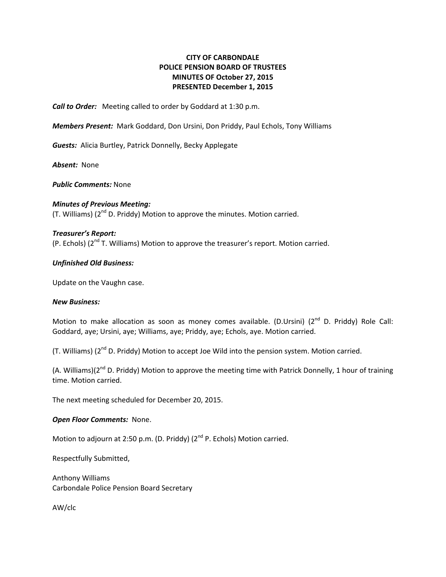## **CITY OF CARBONDALE POLICE PENSION BOARD OF TRUSTEES MINUTES OF October 27, 2015 PRESENTED December 1, 2015**

*Call to Order:* Meeting called to order by Goddard at 1:30 p.m.

*Members Present:* Mark Goddard, Don Ursini, Don Priddy, Paul Echols, Tony Williams

*Guests:* Alicia Burtley, Patrick Donnelly, Becky Applegate

Absent: None

*Public Comments:* None

*Minutes of Previous Meeting:* (T. Williams) ( $2^{nd}$  D. Priddy) Motion to approve the minutes. Motion carried.

#### *Treasurer's Report:*

(P. Echols)  $(2^{nd}T.$  Williams) Motion to approve the treasurer's report. Motion carried.

#### *Unfinished Old Business:*

Update on the Vaughn case.

#### *New Business:*

Motion to make allocation as soon as money comes available. (D.Ursini) ( $2^{nd}$  D. Priddy) Role Call: Goddard, aye; Ursini, aye; Williams, aye; Priddy, aye; Echols, aye. Motion carried.

(T. Williams) (2<sup>nd</sup> D. Priddy) Motion to accept Joe Wild into the pension system. Motion carried.

(A. Williams)( $2^{nd}$  D. Priddy) Motion to approve the meeting time with Patrick Donnelly, 1 hour of training time. Motion carried.

The next meeting scheduled for December 20, 2015.

## *Open Floor Comments:* None.

Motion to adjourn at 2:50 p.m. (D. Priddy) (2<sup>nd</sup> P. Echols) Motion carried.

Respectfully Submitted,

Anthony Williams Carbondale Police Pension Board Secretary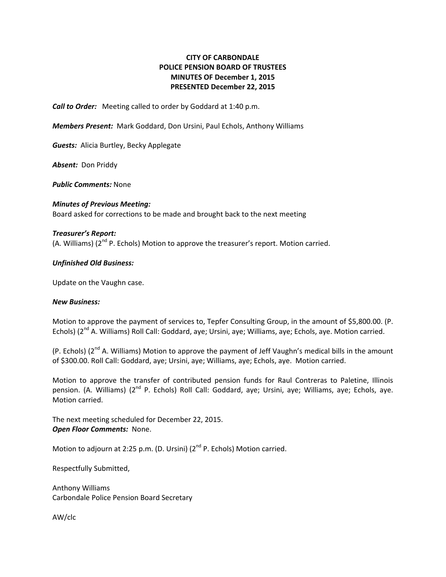## **CITY OF CARBONDALE POLICE PENSION BOARD OF TRUSTEES MINUTES OF December 1, 2015 PRESENTED December 22, 2015**

*Call to Order:* Meeting called to order by Goddard at 1:40 p.m.

*Members Present:* Mark Goddard, Don Ursini, Paul Echols, Anthony Williams

*Guests:* Alicia Burtley, Becky Applegate

**Absent:** Don Priddy

*Public Comments:* None

*Minutes of Previous Meeting:* Board asked for corrections to be made and brought back to the next meeting

#### *Treasurer's Report:*

 $(A.$  Williams)  $(2^{nd} P.$  Echols) Motion to approve the treasurer's report. Motion carried.

#### *Unfinished Old Business:*

Update on the Vaughn case.

#### *New Business:*

Motion to approve the payment of services to, Tepfer Consulting Group, in the amount of \$5,800.00. (P. Echols) (2<sup>nd</sup> A. Williams) Roll Call: Goddard, aye; Ursini, aye; Williams, aye; Echols, aye. Motion carried.

(P. Echols)  $(2^{nd}$  A. Williams) Motion to approve the payment of Jeff Vaughn's medical bills in the amount of \$300.00. Roll Call: Goddard, aye; Ursini, aye; Williams, aye; Echols, aye. Motion carried.

Motion to approve the transfer of contributed pension funds for Raul Contreras to Paletine, Illinois pension. (A. Williams) (2<sup>nd</sup> P. Echols) Roll Call: Goddard, aye; Ursini, aye; Williams, aye; Echols, aye. Motion carried.

The next meeting scheduled for December 22, 2015. *Open Floor Comments:* None.

Motion to adjourn at 2:25 p.m. (D. Ursini) (2<sup>nd</sup> P. Echols) Motion carried.

Respectfully Submitted,

Anthony Williams Carbondale Police Pension Board Secretary